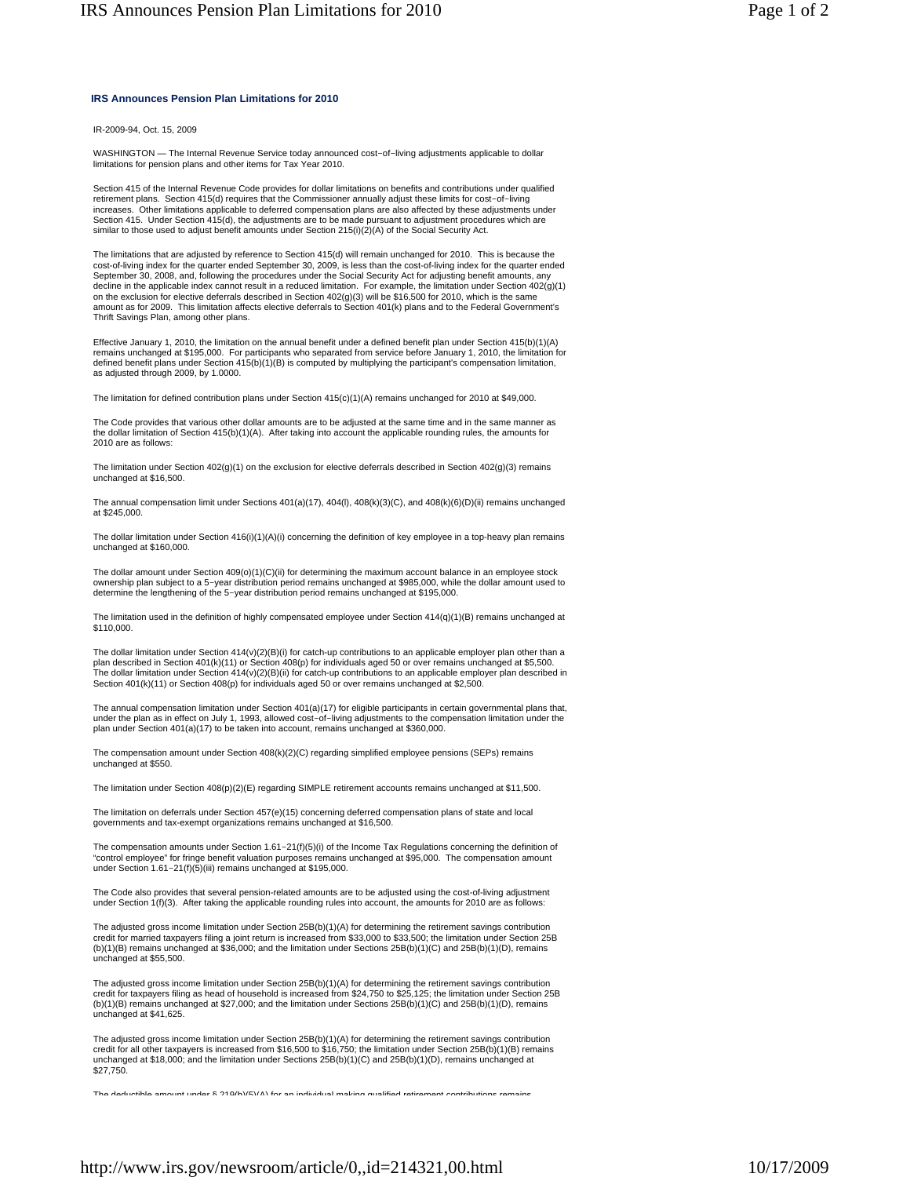## **IRS Announces Pension Plan Limitations for 2010**

IR-2009-94, Oct. 15, 2009

WASHINGTON — The Internal Revenue Service today announced cost-of-living adjustments applicable to dollar limitations for pension plans and other items for Tax Year 2010.

Section 415 of the Internal Revenue Code provides for dollar limitations on benefits and contributions under qualified retirement plans. Section 415(d) requires that the Commissioner annually adjust these limits for cost-of-living increases. Other limitations applicable to deferred compensation plans are also affected by these adjustments under Section 415. Under Section 415(d), the adjustments are to be made pursuant to adjustment procedures which are similar to those used to adjust benefit amounts under Section 215(i)(2)(A) of the Social Security Act.

The limitations that are adjusted by reference to Section 415(d) will remain unchanged for 2010. This is because the cost-of-living index for the quarter ended September 30, 2009, is less than the cost-of-living index for the quarter ended<br>September 30, 2008, and, following the procedures under the Social Security Act for adjusting benef decline in the applicable index cannot result in a reduced limitation. For example, the limitation under Section 402(g)(1) on the exclusion for elective deferrals described in Section 402(g)(3) will be \$16,500 for 2010, which is the same<br>amount as for 2009. This limitation affects elective deferrals to Section 401(k) plans and to the Federal Thrift Savings Plan, among other plans.

Effective January 1, 2010, the limitation on the annual benefit under a defined benefit plan under Section 415(b)(1)(A) remains unchanged at \$195,000. For participants who separated from service before January 1, 2010, the limitation for<br>defined benefit plans under Section 415(b)(1)(B) is computed by multiplying the participant's compensat as adjusted through 2009, by 1,0000.

The limitation for defined contribution plans under Section 415(c)(1)(A) remains unchanged for 2010 at \$49,000.

The Code provides that various other dollar amounts are to be adjusted at the same time and in the same manner as the dollar limitation of Section 415(b)(1)(A). After taking into account the applicable rounding rules, the amounts for 2010 are as follows:

The limitation under Section 402(g)(1) on the exclusion for elective deferrals described in Section 402(g)(3) remains unchanged at \$16,500.

The annual compensation limit under Sections 401(a)(17), 404(l), 408(k)(3)(C), and 408(k)(6)(D)(ii) remains unchanged at \$245,000.

The dollar limitation under Section 416(i)(1)(A)(i) concerning the definition of key employee in a top-heavy plan remains unchanged at \$160,000.

The dollar amount under Section 409(o)(1)(C)(ii) for determining the maximum account balance in an employee stock ownership plan subject to a 5-year distribution period remains unchanged at \$985,000, while the dollar amount used to determine the lengthening of the 5-year distribution period remains unchanged at \$195,000.

The limitation used in the definition of highly compensated employee under Section 414(q)(1)(B) remains unchanged at \$110,000.

The dollar limitation under Section 414(v)(2)(B)(i) for catch-up contributions to an applicable employer plan other than a plan described in Section 401(k)(11) or Section 408(p) for individuals aged 50 or over remains unchanged at \$5,500. The dollar limitation under Section 414(v)(2)(B)(ii) for catch-up contributions to an applicable employer plan described in Section 401(k)(11) or Section 408(p) for individuals aged 50 or over remains unchanged at \$2,500.

The annual compensation limitation under Section 401(a)(17) for eligible participants in certain governmental plans that,<br>under the plan as in effect on July 1, 1993, allowed cost–of–living adjustments to the compensation plan under Section 401(a)(17) to be taken into account, remains unchanged at \$360,000.

The compensation amount under Section 408(k)(2)(C) regarding simplified employee pensions (SEPs) remains unchanged at \$550.

The limitation under Section 408(p)(2)(E) regarding SIMPLE retirement accounts remains unchanged at \$11,500.

The limitation on deferrals under Section 457(e)(15) concerning deferred compensation plans of state and local governments and tax-exempt organizations remains unchanged at \$16,500.

The compensation amounts under Section 1.61-21(f)(5)(i) of the Income Tax Regulations concerning the definition of "control employee" for fringe benefit valuation purposes remains unchanged at \$95,000. The compensation amount under Section 1.61-21(f)(5)(iii) remains unchanged at \$195,000.

The Code also provides that several pension-related amounts are to be adjusted using the cost-of-living adjustment under Section 1(f)(3). After taking the applicable rounding rules into account, the amounts for 2010 are as follows:

The adjusted gross income limitation under Section 25B(b)(1)(A) for determining the retirement savings contribution<br>credit for married taxpayers filing a joint return is increased from \$33,000 to \$33,500; the limitation un (b)(1)(B) remains unchanged at \$36,000; and the limitation under Sections 25B(b)(1)(C) and 25B(b)(1)(D), remains unchanged at \$55,500.

The adjusted gross income limitation under Section 25B(b)(1)(A) for determining the retirement savings contribution<br>credit for taxpayers filing as head of household is increased from \$24,750 to \$25,125; the limitation unde (b)(1)(B) remains unchanged at \$27,000; and the limitation under Sections 25B(b)(1)(C) and 25B(b)(1)(D), remains unchanged at \$41,625.

The adjusted gross income limitation under Section 25B(b)(1)(A) for determining the retirement savings contribution<br>credit for all other taxpayers is increased from \$16,500 to \$16,750; the limitation under Section 25B(b)(1 unchanged at \$18,000; and the limitation under Sections 25B(b)(1)(C) and 25B(b)(1)(D), remains unchanged at \$27,750.

The deductible amount under  $\frac{8.219(b)(5)(A)}{2.219(b)(5)(A)}$  for an individual making qualified retirement contributions